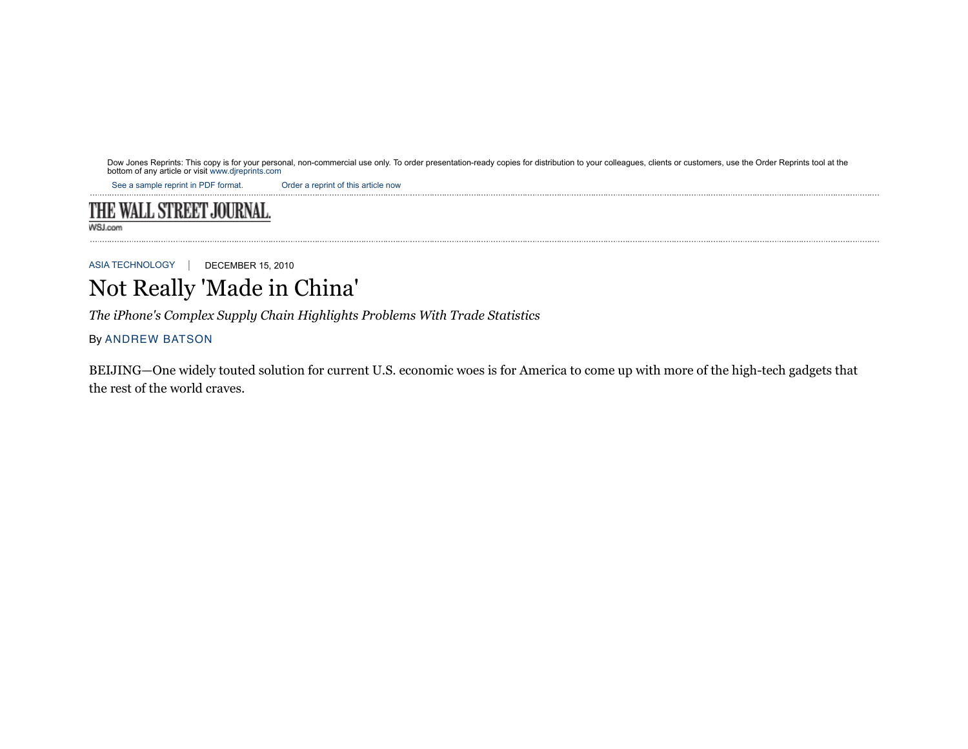Dow Jones Reprints: This copy is for your personal, non-commercial use only. To order presentation-ready copies for distribution to your colleagues, clients or customers, use the Order Reprints tool at the<br>bottom of any ar

See a sample reprint in PDF format. Order a reprint of this article now

# THE WALL STREET JOURNAL.

WSJ.com

ASIA TECHNOLOGY | DECEMBER 15, 2010

# Not Really 'Made in China'

*The iPhone's Complex Supply Chain Highlights Problems With Trade Statistics*

# By ANDREW BATSON

BEIJING—One widely touted solution for current U.S. economic woes is for America to come up with more of the high-tech gadgets that the rest of the world craves.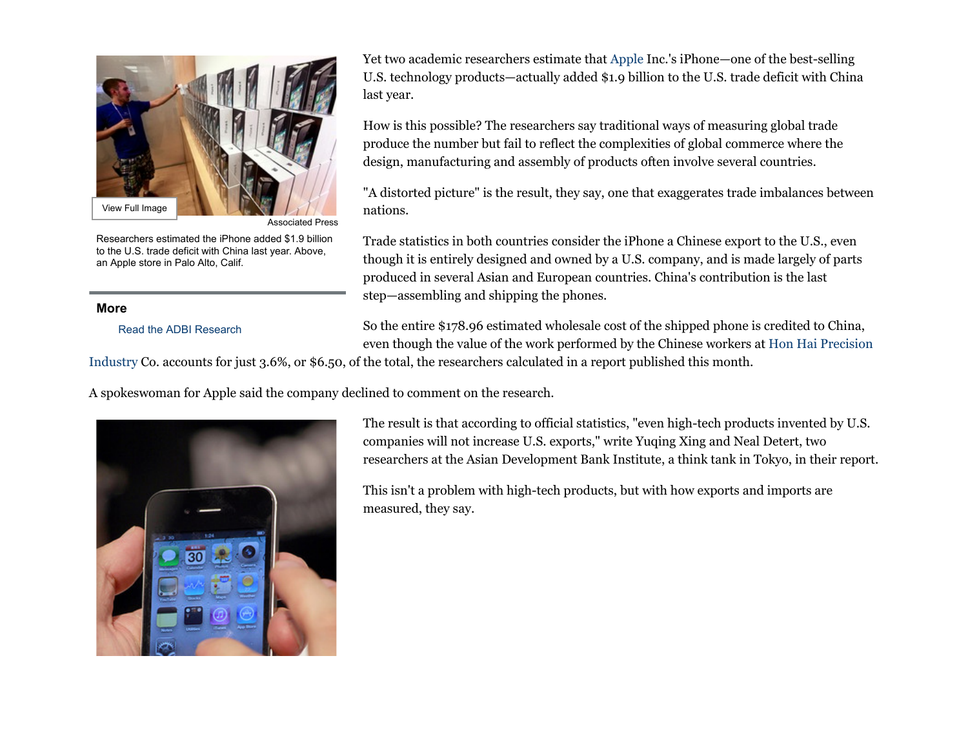

Associated Press

Researchers estimated the iPhone added \$1.9 billion to the U.S. trade deficit with China last year. Above, an Apple store in Palo Alto, Calif.

# **More**

Read the ADBI Research

Yet two academic researchers estimate that Apple Inc.'s iPhone—one of the best-selling U.S. technology products—actually added \$1.9 billion to the U.S. trade deficit with China last year.

How is this possible? The researchers say traditional ways of measuring global trade produce the number but fail to reflect the complexities of global commerce where the design, manufacturing and assembly of products often involve several countries.

"A distorted picture" is the result, they say, one that exaggerates trade imbalances between nations.

Trade statistics in both countries consider the iPhone a Chinese export to the U.S., even though it is entirely designed and owned by a U.S. company, and is made largely of parts produced in several Asian and European countries. China's contribution is the last step—assembling and shipping the phones.

So the entire \$178.96 estimated wholesale cost of the shipped phone is credited to China, even though the value of the work performed by the Chinese workers at Hon Hai Precision

Industry Co. accounts for just 3.6%, or \$6.50, of the total, the researchers calculated in a report published this month.

A spokeswoman for Apple said the company declined to comment on the research.



The result is that according to official statistics, "even high-tech products invented by U.S. companies will not increase U.S. exports," write Yuqing Xing and Neal Detert, two researchers at the Asian Development Bank Institute, a think tank in Tokyo, in their report.

This isn't a problem with high-tech products, but with how exports and imports are measured, they say.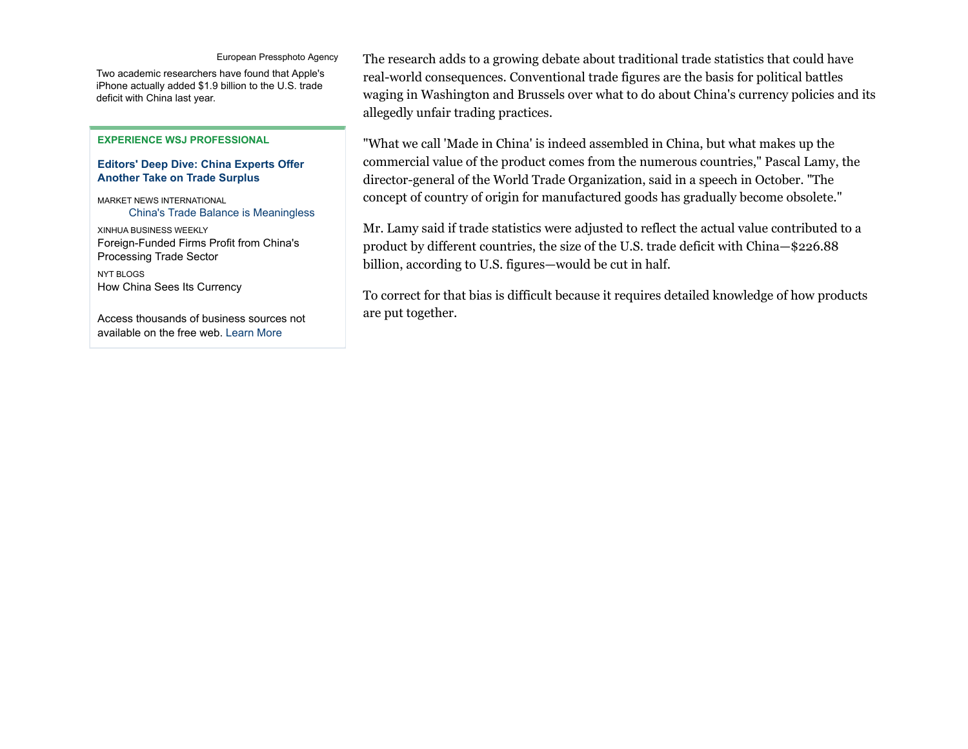#### European Pressphoto Agency

Two academic researchers have found that Apple's iPhone actually added \$1.9 billion to the U.S. trade deficit with China last year.

#### **EXPERIENCE WSJ PROFESSIONAL**

## **Editors' Deep Dive: China Experts Offer Another Take on Trade Surplus**

MARKET NEWS INTERNATIONAL China's Trade Balance is Meaningless

XINHUA BUSINESS WEEKLY Foreign-Funded Firms Profit from China's Processing Trade Sector NYT BLOGS How China Sees Its Currency

Access thousands of business sources not available on the free web. Learn More

The research adds to a growing debate about traditional trade statistics that could have real-world consequences. Conventional trade figures are the basis for political battles waging in Washington and Brussels over what to do about China's currency policies and its allegedly unfair trading practices.

"What we call 'Made in China' is indeed assembled in China, but what makes up the commercial value of the product comes from the numerous countries," Pascal Lamy, the director-general of the World Trade Organization, said in a speech in October. "The concept of country of origin for manufactured goods has gradually become obsolete."

Mr. Lamy said if trade statistics were adjusted to reflect the actual value contributed to a product by different countries, the size of the U.S. trade deficit with China—\$226.88 billion, according to U.S. figures—would be cut in half.

To correct for that bias is difficult because it requires detailed knowledge of how products are put together.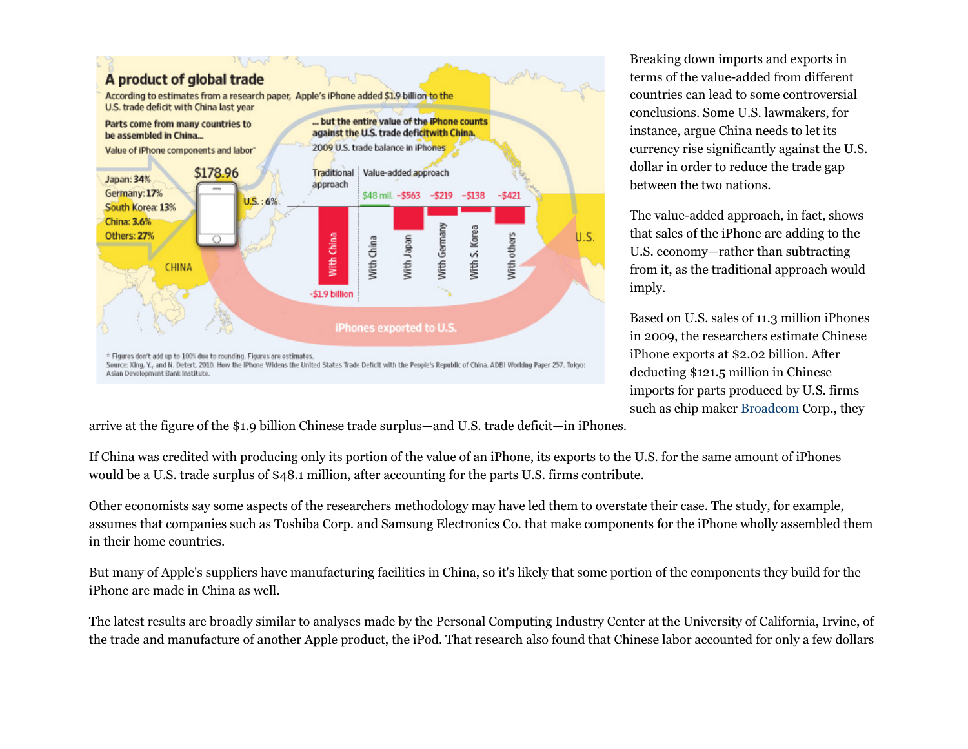

Breaking down imports and exports in terms of the value-added from different countries can lead to some controversial conclusions. Some U.S. lawmakers, for instance, argue China needs to let its currency rise significantly against the U.S. dollar in order to reduce the trade gap between the two nations.

The value-added approach, in fact, shows that sales of the iPhone are adding to the U.S. economy—rather than subtracting from it, as the traditional approach would imply.

Based on U.S. sales of 11.3 million iPhones in 2009, the researchers estimate Chinese iPhone exports at \$2.02 billion. After deducting \$121.5 million in Chinese imports for parts produced by U.S. firms such as chip maker Broadcom Corp., they

arrive at the figure of the \$1.9 billion Chinese trade surplus—and U.S. trade deficit—in iPhones.

If China was credited with producing only its portion of the value of an iPhone, its exports to the U.S. for the same amount of iPhones would be a U.S. trade surplus of \$48.1 million, after accounting for the parts U.S. firms contribute.

Other economists say some aspects of the researchers methodology may have led them to overstate their case. The study, for example, assumes that companies such as Toshiba Corp. and Samsung Electronics Co. that make components for the iPhone wholly assembled them in their home countries.

But many of Apple's suppliers have manufacturing facilities in China, so it's likely that some portion of the components they build for the iPhone are made in China as well.

The latest results are broadly similar to analyses made by the Personal Computing Industry Center at the University of California, Irvine, of the trade and manufacture of another Apple product, the iPod. That research also found that Chinese labor accounted for only a few dollars